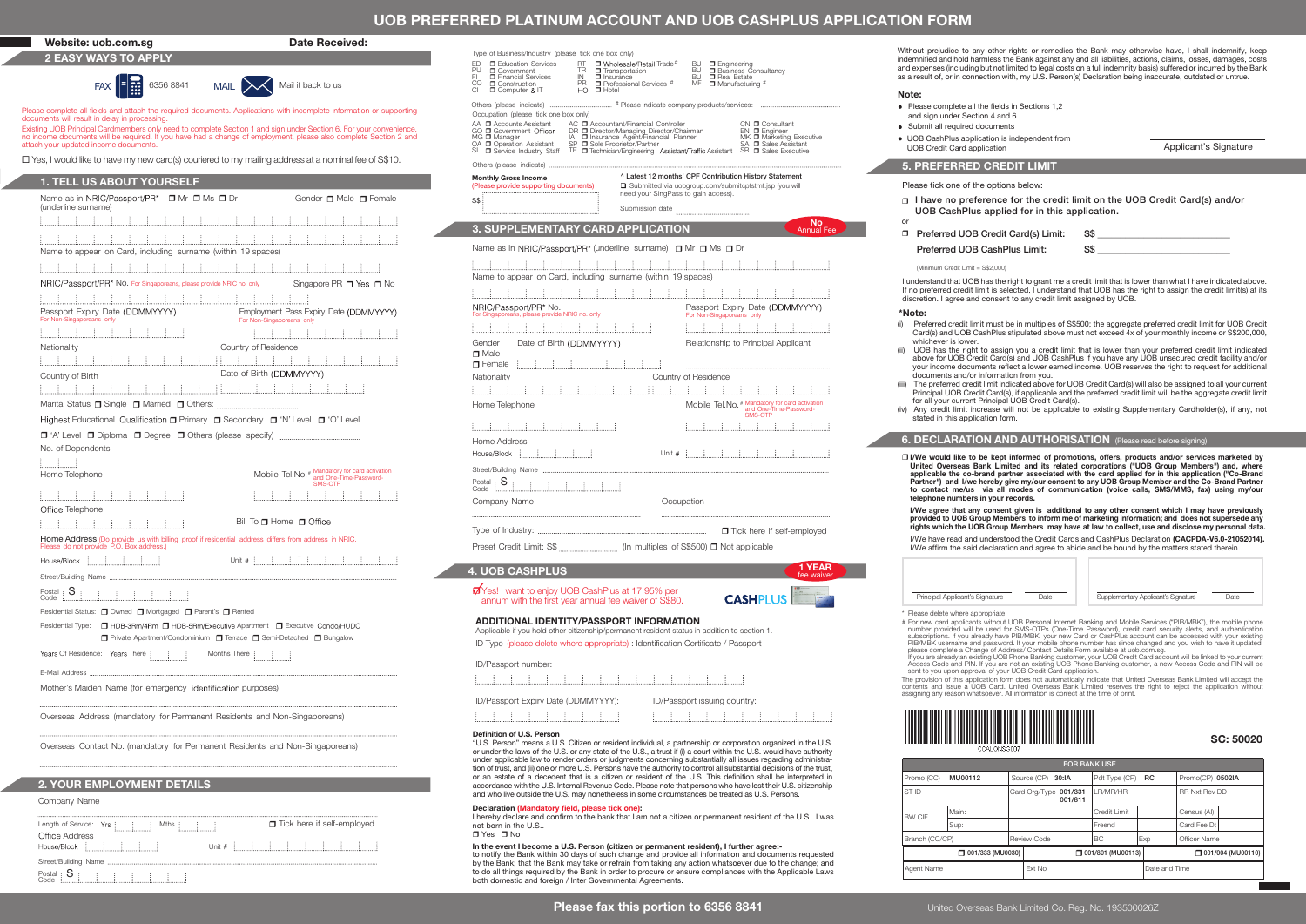## UOB PREFERRED PLATINUM ACCOUNT AND UOB CASHPLUS APPLICATION FORM

## Website: uob.com.sq **Date Received:** 2 EASY WAYS TO APPLY

documents will result in delay in processing.

attach your updated income documents.

1. TELL US ABOUT YOURSELF

Passport Expiry Date (DDMMYYYY)

Name as in (underline surname) <sup>r</sup> Mr r Ms <sup>r</sup> Dr

Name to appear on Card, including surname (within 19 spaces) NBIC/Passport/PR\* No. For Singaporeans, please provide NBIC no. only

Marital Status r Single r Married r Others:

Highest Educational Qualification **n** Primary **n** Secondary **n** 'N' Level **n** 'O' Level r 'A' Level r Diploma r Degree r Others (please specify)

Home Telephone Mobile Tel.No. # Mandatory for card activation and One-Time-Password-SMS-OTP

Home Address (Do provide us with billing proof if residential address differs from address in NRIC.

2. YOUR EMPLOYMENT DETAILS

Residential Status: <sup>1</sup> Owned <sup>1</sup> Mortgaged <sup>1</sup> Parent's <sup>1</sup> Rented

Years Of Residence: Years There  $\begin{array}{cccc} 1 & 1 & 1 \\ 1 & 1 & 1 \end{array}$  Months There  $\begin{array}{cccc} 1 & 1 & 1 \\ 1 & 1 & 1 \end{array}$ 

Overseas Address (mandatory for Permanent Residents and Non-Singaporeans) Overseas Contact No. (mandatory for Permanent Residents and Non-Singaporeans)

Mother's Maiden Name (for emergency identification purposes)

Length of Service: Yrs [ [ [ [ ] Mths [ [ [ ] ]

Company Name

E-Mail Address

Postal<br>Code

No. of Dependents

 $L_{\text{min}}$ 

For Non-Singaporeans only

不正

**Nationality** Country of Birth

Office Telephone

Please do not provide P.O. Box address.)

House/Block [ [ [ [ ]

Street/Building Name

Office Address

House/Block :

Postal<br>Code Street/Building Name ......

Gender r Male r Female

Singapore PR  $\Box$  Yes  $\Box$  No

主工工工工

**Employment Pass Expiry Date (DDMMYYYY)** 

1. 主体主体主体主体主

 $\Box$  Tick here if self-employed

Unit  $\#$ 

**r** Private Apartment/Condominium **r** Terrace **r** Semi-Detached **r** Bungalow

Bill To  $\Box$  Home  $\Box$  Office

Date of Birth (DDMMYYYY)

Country of Residence

For Non-Singaporeans only

 $Unit # f = f - f - f - f - f - f - f - f$ 

 $\square$  Yes, I would like to have my new card(s) couriered to my mailing address at a nominal fee of S\$10.

生生  $\sim$  1  $^{\circ}$  $\sim$  1

<u>. 1. . 1. . 1. . 1. . 1. . 1. . 1</u>

 $FAX$   $\begin{array}{|c|c|c|c|}\n\hline\n\text{FAX} & \text{6356 8841} \\
\hline\n\text{MAIL} & \text{MAIL} & \text{Mail it back to us}\n\hline\n\end{array}$ 

Please complete all fields and attach the required documents. Applications with incomplete information or supporting

Existing UOB Principal Cardmembers only need to complete Section 1 and sign under Section 6. For your convenience, no income documents will be required. If you have had a change of employment, please also complete Section 2 and

|     | Type of Business/Industry (please tick one box only) |           |                              |
|-----|------------------------------------------------------|-----------|------------------------------|
|     | ED <b>D</b> Education Services                       |           | RT D Wholesale/Retail Trade# |
| PII | O Government                                         | TR        | <b>D</b> Transportation      |
| EL. | <b>D</b> Financial Services                          | IN        | $\Box$ Insurance             |
|     | CO <b>D</b> Construction                             | <b>PR</b> | □ Professional Services #    |
|     |                                                      |           |                              |

- The material of the Control of the Control of the Control of the Control of the Control of the Control of the Control of the Control of the Control of the Control of the Control of the Control of the Control of the Control
	-

 $CI$   $I$   $O$   $I$   $O$   $I$   $I$   $I$ Others (please indicate) # Please indicate company products/services:

## Occupation (please tick one box only)

| AA □ Accounts Assistant<br>GO & Government Officer           | AC <b>D</b> Accountant/Financial Controller                                                          | CN □ Consultant<br>$EN$ $\Box$ Engineer      |
|--------------------------------------------------------------|------------------------------------------------------------------------------------------------------|----------------------------------------------|
| MG □ Manager                                                 | DR □ Director/Managing Director/Chairman<br>IA □ Insurance Agent/Financial Planner                   | MK □ Marketing Executive                     |
| OA Operation Assistant<br>SI <b>D</b> Service Industry Staff | SP <b>D</b> Sole Proprietor/Partner<br>TE <b>T</b> echnician/Engineering Assistant/Traffic Assistant | SA □ Sales Assistant<br>SR □ Sales Executive |
|                                                              |                                                                                                      |                                              |

|  |  | Others (please indicate) | ------------ |
|--|--|--------------------------|--------------|
|--|--|--------------------------|--------------|

| <b>Monthly Gross Income</b>           | <sup>^</sup> Latest 12 months' CPF Contribution History Statement |
|---------------------------------------|-------------------------------------------------------------------|
| (Please provide supporting documents) | □ Submitted via uobgroup.com/submitcpfstmt.isp (you will          |
| ss i                                  | need your SingPass to gain access).                               |
|                                       | Submission date                                                   |

## 3. SUPPLEMENTARY CARD APPLICATION

### Name as in NRIC/Passport/PR\* (underline surname)  $\Box$  Mr  $\Box$  Ms  $\Box$  Dr

|                                                                                                                      |                                                                   | Note:                |
|----------------------------------------------------------------------------------------------------------------------|-------------------------------------------------------------------|----------------------|
|                                                                                                                      |                                                                   | $\bullet$ Plea       |
| Occupation (please tick one box only)                                                                                |                                                                   | and                  |
|                                                                                                                      | EN O Engineer<br>MK O Marketing Executive<br>SA O Sales Assistant | Sub<br><b>UOE</b>    |
|                                                                                                                      |                                                                   | <b>UOE</b>           |
|                                                                                                                      |                                                                   | 5. P                 |
| <b>Monthly Gross Income</b>                                                                                          | ^ Latest 12 months' CPF Contribution History Statement            |                      |
| (Please provide supporting documents)<br>need your SingPass to gain access).                                         | □ Submitted via uobgroup.com/submitcpfstmt.jsp (you will          | Pleas                |
| S\$!                                                                                                                 |                                                                   | n Ll<br>U            |
|                                                                                                                      | No                                                                | or                   |
| <b>3. SUPPLEMENTARY CARD APPLICATION</b>                                                                             | <b>Annual Fee</b>                                                 | o F                  |
| Name as in NRIC/Passport/PR <sup>*</sup> (underline surname) $\Box$ Mr $\Box$ Ms $\Box$ Dr                           |                                                                   | P                    |
| <u> E La La La La La La La La La La La</u>                                                                           |                                                                   | (                    |
| Name to appear on Card, including surname (within 19 spaces)                                                         |                                                                   | I unde               |
|                                                                                                                      |                                                                   | If no p<br>discre    |
| NRIC/Passport/PR* No.<br>For Singaporeans, please provide NRIC no. only                                              | Passport Expiry Date (DDMMYYYY)                                   | *Note                |
|                                                                                                                      | For Non-Singaporeans only                                         | Pr<br>(i)            |
| <u> 1999 - 1999 - 1999 - 1999 - 1999 - 1999 - 1999 - 1999 - 1999 - 1999 - 1999 - 1999 - 1999 - 1999 - 1999 - 199</u> |                                                                   | Cε<br>wł             |
| Date of Birth (DDMMYYYY)<br>Gender<br>$\blacksquare$ Male                                                            | Relationship to Principal Applicant                               | $(ii)$ U             |
| □ Female [ <u>[[[[[[[</u> ]                                                                                          |                                                                   | ab<br>yo             |
| Nationality                                                                                                          | Country of Residence                                              | do                   |
|                                                                                                                      |                                                                   | $(iii)$ Th<br>Pri    |
| Home Telephone                                                                                                       | Mobile Tel.No. <sup>#</sup> Mandatory for card activation         | for<br>(iv) Ar       |
| <u> 1994 - 1994 - 1995 - 1996 - 1997 - 1998 - 1999 - 1999 - 1999 - 1999 - 1999 - 1999 - 1999 - 1999 - 1999 - 199</u> | SMS-OTP                                                           | sta                  |
|                                                                                                                      |                                                                   | 6. D                 |
| Home Address<br>House/Block [ [ [ [ [ [ ] ] ] [ ] Unit # [ [ ] [ ] [ ] [ ]                                           |                                                                   |                      |
|                                                                                                                      |                                                                   | $\square$ I/W<br>Uni |
|                                                                                                                      |                                                                   | app<br>Par           |
|                                                                                                                      |                                                                   | to                   |
| Occupation<br>Company Name                                                                                           |                                                                   | tele<br>1/W          |
|                                                                                                                      |                                                                   | pro<br>rigl          |
|                                                                                                                      |                                                                   | I/W                  |
| Preset Credit Limit: S\$ (In multiples of S\$500) □ Not applicable                                                   |                                                                   | I/W                  |
| <b>4. UOB CASHPLUS</b>                                                                                               | 1 YEAR<br>fee waiver                                              |                      |
| Yes! I want to enjoy UOB CashPlus at 17.95% per                                                                      |                                                                   | P                    |
|                                                                                                                      | $C$ ACLIDI LIC<br><b>Time</b>                                     |                      |

## 4. UOB CASHPLUS

r Yes! I want to enjoy UOB CashPlus at 17.95% per annum with the first year annual fee waiver of S\$80.



 $\begin{array}{cccccccccccccc} 1 & 1 & 1 & 1 & 1 & 1 \end{array}$ 

|  | ID/Passport number:                 |  |  |  |     |  |  |                              |  |
|--|-------------------------------------|--|--|--|-----|--|--|------------------------------|--|
|  |                                     |  |  |  | . . |  |  |                              |  |
|  | ID/Passport Expiry Date (DDMMYYYY): |  |  |  |     |  |  | ID/Passport issuing country: |  |
|  |                                     |  |  |  |     |  |  |                              |  |

### Definition of U.S. Person

or an estate of a decedent that is a citizen or resident of the U.S. This definition shall be interpreted in accordance with the U.S. Internal Revenue Code. Please note that persons who have lost their U.S. citizenship

### Declaration (Mandatory field, please tick one):

I hereby declare and conrm to the bank that I am not a citizen or permanent resident of the U.S.. I was not born in the U.S..

### In the event I become a U.S. Person (citizen or permanent resident), I further agree:-

indemnified and hold harmless the Bank against any and all liabilities, actions, claims, losses, damages, costs<br>and expenses (including but not limited to legal costs on a full indemnity basis) suffered or incurred by the as a result of, or in connection with, my U.S. Person(s) Declaration being inaccurate, outdated or untrue.

Without prejudice to any other rights or remedies the Bank may otherwise have. Leball indemnify, keep

- Please complete all the fields in Sections 1,2
- and sign under Section 4 and 6
- Submit all required documents
- UOB CashPlus application is independent from UOB Credit Card application and policient is the Applicant's Signature
	- -

### 5. PREFERRED CREDIT LIMIT

Please tick one of the options below:

- □ I have no preference for the credit limit on the UOB Credit Card(s) and/or UOB CashPlus applied for in this application.
- or r

| Preferred UOB Credit Card(s) Limit: | S\$ |
|-------------------------------------|-----|
| Preferred UOB CashPlus Limit:       | S\$ |

(Minimum Credit Limit = S\$2,000)

I understand that UOB has the right to grant me a credit limit that is lower than what I have indicated above. If no preferred credit limit is selected, I understand that UOB has the right to assign the credit limit(s) at its discretion. I agree and consent to any credit limit assigned by UOB.

### \*Note:

- (i) Preferred credit limit must be in multiples of S\$500; the aggregate preferred credit limit for UOB Credit Card(s) and UOB CashPlus stipulated above must not exceed 4x of your monthly income or S\$200,000, whichever is lower.
- (ii) UOB has the right to assign you a credit limit that is lower than your preferred credit limit indicated above for UOB Credit Card(s) and UOB CashPlus if you have any UOB unsecured credit facility and/or<br>your income documents reflect a lower earned income. UOB reserves the right to request for additional documents and/or information from you.
- (iii) The preferred credit limit indicated above for UOB Credit Card(s) will also be assigned to all your current Principal UOB Credit Card(s), if applicable and the preferred credit limit will be the aggregate credit limit for all your current Principal UOB Credit Card(s).
- (iv) Any credit limit increase will not be applicable to existing Supplementary Cardholder(s), if any, not stated in this application form.

## **6. DECLARATION AND AUTHORISATION** (Please read before signing)

r I/We would like to be kept informed of promotions, offers, products and/or services marketed by United Overseas Bank Limited and its related corporations ("UOB Group Members") and, where applicable the co-brand partner associated with the card applied for in this application ("Co-Brand Partner") and I/we hereby give my/our consent to any UOB Group Member and the Co-Brand Partner to contact me/us via all modes of communication (voice calls, SMS/MMS, fax) using my/our telephone numbers in your records.

I/We agree that any consent given is additional to any other consent which I may have previously provided to UOB Group Members to inform me of marketing information; and does not supersede any rights which the UOB Group Members may have at law to collect, use and disclose my personal data.

I/We have read and understood the Credit Cards and CashPlus Declaration (CACPDA-V6.0-21052014). I/We afrm the said declaration and agree to abide and be bound by the matters stated therein.



\* Please delete where appropriate.

# For new card applicants without UOB Personal Internet Banking and Mobile Services ("PIB/MBK"), the mobile phone number provided will be used for SMS-OTPs (One-Time Password), credit card security alerts, and authentication<br>subscriptions. If you already have PIB/MBK, your new Card or CashPlus account can be accessed with your existin

lf you are already an existing UOB Phone Banking customer, your UOB Credit Card account will be linked to your current<br>Access Code and PIN. If you are not an existing UOB Phone Banking customer, a new Access Code and PIN w

The provision of this application form does not automatically indicate that United Overseas Bank Limited will accept the<br>contents and issue a UOB Card. United Overseas Bank Limited reserves the right to reject the applicat



| SC: 50020 |  |  |
|-----------|--|--|
|-----------|--|--|

|                |                    | <b>FOR BANK USE</b> |                                  |                     |               |                      |                   |  |
|----------------|--------------------|---------------------|----------------------------------|---------------------|---------------|----------------------|-------------------|--|
| Promo (CC)     | MU00112            |                     | Source (CP) 30:IA                | Pdt Type (CP)       | <b>RC</b>     | Promo(CP) 0502IA     |                   |  |
| ST ID          |                    |                     | Card Org/Type 001/331<br>001/811 | I R/MR/HR           |               | <b>RR Nxt Rev DD</b> |                   |  |
| <b>BW CIF</b>  | Main:              |                     |                                  | Credit Limit        |               | Census (AI)          |                   |  |
|                | Sup:               |                     |                                  | Freend              |               | Card Fee Dt          |                   |  |
| Branch (CC/CP) |                    |                     | Review Code                      | BC.                 | Exp           | Officer Name         |                   |  |
|                | O 001/333 (MU0030) |                     |                                  | O 001/801 (MU00113) |               |                      | O01/004 (MU00110) |  |
| Agent Name     |                    |                     | Fxt No                           |                     | Date and Time |                      |                   |  |

Please fax this portion to 6356 8841



"U.S. Person" means a U.S. Citizen or resident individual, a partnership or corporation organized in the U.S. or under the laws of the U.S. or any state of the U.S., a trust if (i) a court within the U.S. would have authority under applicable law to render orders or judgments concerning substantially all issues regarding administration of trust, and (ii) one or more U.S. Persons have the authority to control all substantial decisions of the trust and who live outside the U.S. may nonetheless in some circumstances be treated as U.S. Persons.

r Yes r No

to notify the Bank within 30 days of such change and provide all information and documents requested by the Bank; that the Bank may take or refrain from taking any action whatsoever due to the change; and to do all things required by the Bank in order to procure or ensure compliances with the Applicable Laws both domestic and foreign / Inter Governmental Agreements.